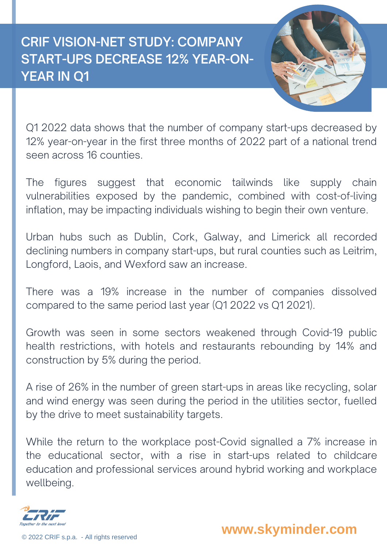## **CRIF VISION-NET STUDY: COMPANY START-UPS DECREASE 12% YEAR-ON-YEAR IN Q1**



Q1 2022 data shows that the number of company start-ups decreased by 12% year-on-year in the first three months of 2022 part of a national trend seen across 16 counties.

The figures suggest that economic tailwinds like supply chain vulnerabilities exposed by the pandemic, combined with cost-of-living inflation, may be impacting individuals wishing to begin their own venture.

Urban hubs such as Dublin, Cork, Galway, and Limerick all recorded declining numbers in company start-ups, but rural counties such as Leitrim, Longford, Laois, and Wexford saw an increase.

There was a 19% increase in the number of companies dissolved compared to the same period last year (Q1 2022 vs Q1 2021).

Growth was seen in some sectors weakened through Covid-19 public health restrictions, with hotels and restaurants rebounding by 14% and construction by 5% during the period.

A rise of 26% in the number of green start-ups in areas like recycling, solar and wind energy was seen during the period in the utilities sector, fuelled by the drive to meet sustainability targets.

While the return to the workplace post-Covid signalled a 7% increase in the educational sector, with a rise in start-ups related to childcare education and professional services around hybrid working and workplace wellbeing.



© <sup>2022</sup> CRIF s.p.a. - All rights reserved **www.skyminder.com**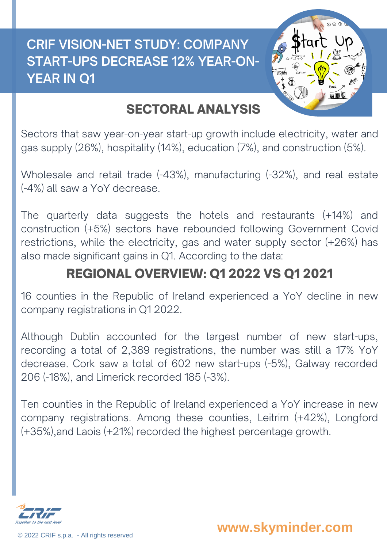## **CRIF VISION-NET STUDY: COMPANY START-UPS DECREASE 12% YEAR-ON-YEAR IN Q1**



## SECTORAL ANALYSIS

Sectors that saw year-on-year start-up growth include electricity, water and gas supply (26%), hospitality (14%), education (7%), and construction (5%).

Wholesale and retail trade (-43%), manufacturing (-32%), and real estate (-4%) all saw a YoY decrease.

The quarterly data suggests the hotels and restaurants (+14%) and construction (+5%) sectors have rebounded following Government Covid restrictions, while the electricity, gas and water supply sector (+26%) has also made significant gains in Q1. According to the data:

## REGIONAL OVERVIEW: Q1 2022 VS Q1 2021

16 counties in the Republic of Ireland experienced a YoY decline in new company registrations in Q1 2022.

Although Dublin accounted for the largest number of new start-ups, recording a total of 2,389 registrations, the number was still a 17% YoY decrease. Cork saw a total of 602 new start-ups (-5%), Galway recorded 206 (-18%), and Limerick recorded 185 (-3%).

Ten counties in the Republic of Ireland experienced a YoY increase in new company registrations. Among these counties, Leitrim (+42%), Longford (+35%),and Laois (+21%) recorded the highest percentage growth.



© <sup>2022</sup> CRIF s.p.a. - All rights reserved **www.skyminder.com**